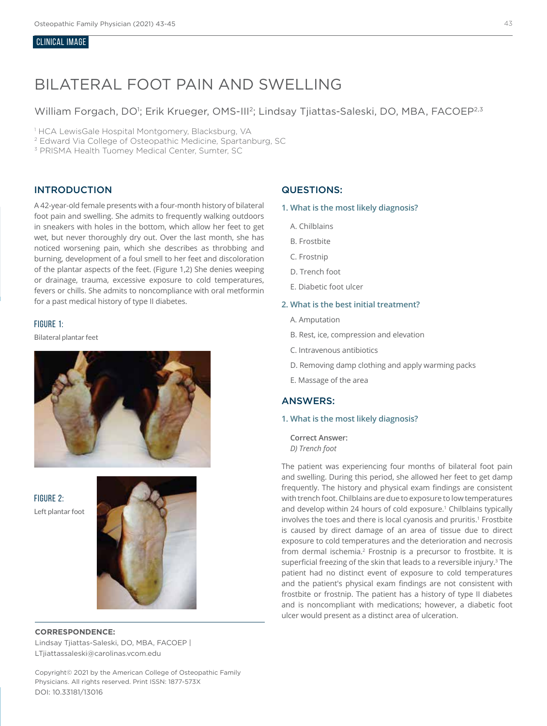## CLINICAL IMAGE

# BILATERAL FOOT PAIN AND SWELLING

William Forgach, DO<sup>1</sup>; Erik Krueger, OMS-III<sup>2</sup>; Lindsay Tjiattas-Saleski, DO, MBA, FACOEP<sup>2,3</sup>

<sup>1</sup> HCA LewisGale Hospital Montgomery, Blacksburg, VA

2 Edward Via College of Osteopathic Medicine, Spartanburg, SC

3 PRISMA Health Tuomey Medical Center, Sumter, SC

## INTRODUCTION

A 42-year-old female presents with a four-month history of bilateral foot pain and swelling. She admits to frequently walking outdoors in sneakers with holes in the bottom, which allow her feet to get wet, but never thoroughly dry out. Over the last month, she has noticed worsening pain, which she describes as throbbing and burning, development of a foul smell to her feet and discoloration of the plantar aspects of the feet. (Figure 1,2) She denies weeping or drainage, trauma, excessive exposure to cold temperatures, fevers or chills. She admits to noncompliance with oral metformin for a past medical history of type II diabetes.

## FIGURE 1:

Bilateral plantar feet



FIGURE 2: Left plantar foot



#### **CORRESPONDENCE:**

Lindsay Tjiattas-Saleski, DO, MBA, FACOEP | LTjiattassaleski@carolinas.vcom.edu

Copyright© 2021 by the American College of Osteopathic Family Physicians. All rights reserved. Print ISSN: 1877-573X DOI: 10.33181/13016

## QUESTIONS:

**1. What is the most likely diagnosis?**

- A. Chilblains
- B. Frostbite
- C. Frostnip
- D. Trench foot
- E. Diabetic foot ulcer

#### **2. What is the best initial treatment?**

- A. Amputation
- B. Rest, ice, compression and elevation
- C. Intravenous antibiotics
- D. Removing damp clothing and apply warming packs
- E. Massage of the area

## ANSWERS:

## **1. What is the most likely diagnosis?**

**Correct Answer:**  *D) Trench foot*

The patient was experiencing four months of bilateral foot pain and swelling. During this period, she allowed her feet to get damp frequently. The history and physical exam findings are consistent with trench foot. Chilblains are due to exposure to low temperatures and develop within 24 hours of cold exposure.1 Chilblains typically involves the toes and there is local cyanosis and pruritis.<sup>1</sup> Frostbite is caused by direct damage of an area of tissue due to direct exposure to cold temperatures and the deterioration and necrosis from dermal ischemia.2 Frostnip is a precursor to frostbite. It is superficial freezing of the skin that leads to a reversible injury.<sup>3</sup> The patient had no distinct event of exposure to cold temperatures and the patient's physical exam findings are not consistent with frostbite or frostnip. The patient has a history of type II diabetes and is noncompliant with medications; however, a diabetic foot ulcer would present as a distinct area of ulceration.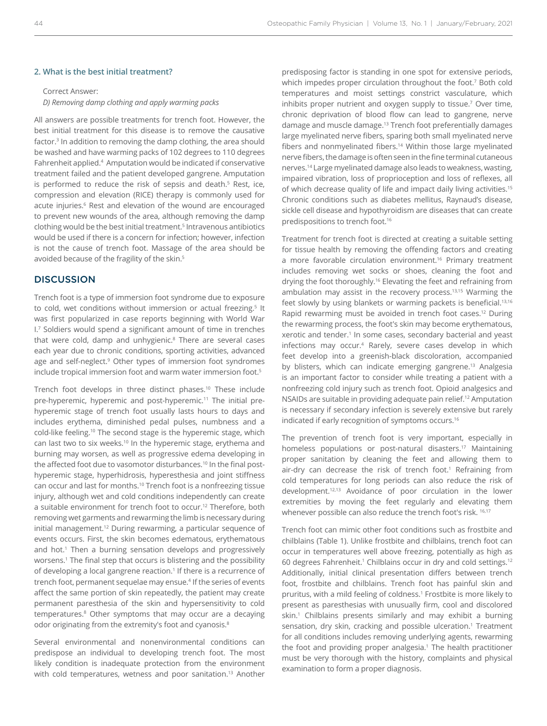#### **2. What is the best initial treatment?**

## Correct Answer:

*D) Removing damp clothing and apply warming packs*

All answers are possible treatments for trench foot. However, the best initial treatment for this disease is to remove the causative factor.3 In addition to removing the damp clothing, the area should be washed and have warming packs of 102 degrees to 110 degrees Fahrenheit applied.4 Amputation would be indicated if conservative treatment failed and the patient developed gangrene. Amputation is performed to reduce the risk of sepsis and death.<sup>5</sup> Rest, ice, compression and elevation (RICE) therapy is commonly used for acute injuries.<sup>6</sup> Rest and elevation of the wound are encouraged to prevent new wounds of the area, although removing the damp clothing would be the best initial treatment.<sup>5</sup> Intravenous antibiotics would be used if there is a concern for infection; however, infection is not the cause of trench foot. Massage of the area should be avoided because of the fragility of the skin.<sup>5</sup>

## **DISCUSSION**

Trench foot is a type of immersion foot syndrome due to exposure to cold, wet conditions without immersion or actual freezing.<sup>5</sup> It was first popularized in case reports beginning with World War I.7 Soldiers would spend a significant amount of time in trenches that were cold, damp and unhygienic.8 There are several cases each year due to chronic conditions, sporting activities, advanced age and self-neglect.<sup>9</sup> Other types of immersion foot syndromes include tropical immersion foot and warm water immersion foot.5

Trench foot develops in three distinct phases.10 These include pre-hyperemic, hyperemic and post-hyperemic.<sup>11</sup> The initial prehyperemic stage of trench foot usually lasts hours to days and includes erythema, diminished pedal pulses, numbness and a cold-like feeling.10 The second stage is the hyperemic stage, which can last two to six weeks.<sup>10</sup> In the hyperemic stage, erythema and burning may worsen, as well as progressive edema developing in the affected foot due to vasomotor disturbances.<sup>10</sup> In the final posthyperemic stage, hyperhidrosis, hyperesthesia and joint stiffness can occur and last for months.10 Trench foot is a nonfreezing tissue injury, although wet and cold conditions independently can create a suitable environment for trench foot to occur.12 Therefore, both removing wet garments and rewarming the limb is necessary during initial management.12 During rewarming, a particular sequence of events occurs. First, the skin becomes edematous, erythematous and hot.<sup>1</sup> Then a burning sensation develops and progressively worsens.<sup>1</sup> The final step that occurs is blistering and the possibility of developing a local gangrene reaction.<sup>1</sup> If there is a recurrence of trench foot, permanent sequelae may ensue.<sup>4</sup> If the series of events affect the same portion of skin repeatedly, the patient may create permanent paresthesia of the skin and hypersensitivity to cold temperatures.<sup>8</sup> Other symptoms that may occur are a decaying odor originating from the extremity's foot and cyanosis.<sup>8</sup>

Several environmental and nonenvironmental conditions can predispose an individual to developing trench foot. The most likely condition is inadequate protection from the environment with cold temperatures, wetness and poor sanitation.<sup>13</sup> Another

predisposing factor is standing in one spot for extensive periods, which impedes proper circulation throughout the foot.<sup>7</sup> Both cold temperatures and moist settings constrict vasculature, which inhibits proper nutrient and oxygen supply to tissue.7 Over time, chronic deprivation of blood flow can lead to gangrene, nerve damage and muscle damage.13 Trench foot preferentially damages large myelinated nerve fibers, sparing both small myelinated nerve fibers and nonmyelinated fibers.<sup>14</sup> Within those large myelinated nerve fibers, the damage is often seen in the fine terminal cutaneous nerves.14 Large myelinated damage also leads to weakness, wasting, impaired vibration, loss of proprioception and loss of reflexes, all of which decrease quality of life and impact daily living activities.<sup>15</sup> Chronic conditions such as diabetes mellitus, Raynaud's disease, sickle cell disease and hypothyroidism are diseases that can create predispositions to trench foot.<sup>16</sup>

Treatment for trench foot is directed at creating a suitable setting for tissue health by removing the offending factors and creating a more favorable circulation environment.<sup>16</sup> Primary treatment includes removing wet socks or shoes, cleaning the foot and drying the foot thoroughly.<sup>16</sup> Elevating the feet and refraining from ambulation may assist in the recovery process.13,15 Warming the feet slowly by using blankets or warming packets is beneficial.13,16 Rapid rewarming must be avoided in trench foot cases.<sup>12</sup> During the rewarming process, the foot's skin may become erythematous, xerotic and tender.<sup>1</sup> In some cases, secondary bacterial and yeast infections may occur.4 Rarely, severe cases develop in which feet develop into a greenish-black discoloration, accompanied by blisters, which can indicate emerging gangrene.<sup>13</sup> Analgesia is an important factor to consider while treating a patient with a nonfreezing cold injury such as trench foot. Opioid analgesics and NSAIDs are suitable in providing adequate pain relief.12 Amputation is necessary if secondary infection is severely extensive but rarely indicated if early recognition of symptoms occurs.16

The prevention of trench foot is very important, especially in homeless populations or post-natural disasters.<sup>17</sup> Maintaining proper sanitation by cleaning the feet and allowing them to air-dry can decrease the risk of trench foot.<sup>1</sup> Refraining from cold temperatures for long periods can also reduce the risk of development.12,13 Avoidance of poor circulation in the lower extremities by moving the feet regularly and elevating them whenever possible can also reduce the trench foot's risk. <sup>16,17</sup>

Trench foot can mimic other foot conditions such as frostbite and chilblains (Table 1). Unlike frostbite and chilblains, trench foot can occur in temperatures well above freezing, potentially as high as 60 degrees Fahrenheit.<sup>1</sup> Chilblains occur in dry and cold settings.<sup>12</sup> Additionally, initial clinical presentation differs between trench foot, frostbite and chilblains. Trench foot has painful skin and pruritus, with a mild feeling of coldness.1 Frostbite is more likely to present as paresthesias with unusually firm, cool and discolored skin.1 Chilblains presents similarly and may exhibit a burning sensation, dry skin, cracking and possible ulceration.<sup>1</sup> Treatment for all conditions includes removing underlying agents, rewarming the foot and providing proper analgesia.<sup>1</sup> The health practitioner must be very thorough with the history, complaints and physical examination to form a proper diagnosis.